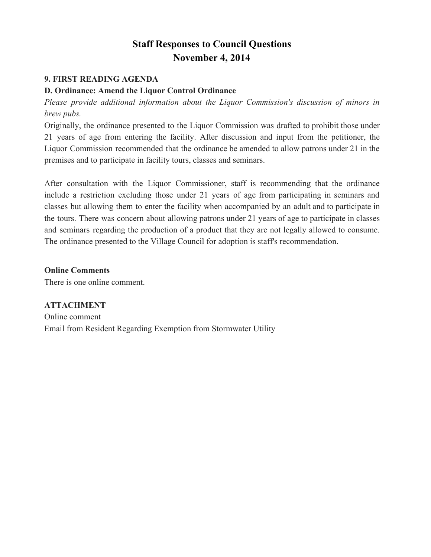## **Staff Responses to Council Questions November 4, 2014**

## **9. FIRST READING AGENDA**

## **D. Ordinance: Amend the Liquor Control Ordinance**

*Please provide additional information about the Liquor Commission's discussion of minors in brew pubs.*

Originally, the ordinance presented to the Liquor Commission was drafted to prohibit those under 21 years of age from entering the facility. After discussion and input from the petitioner, the Liquor Commission recommended that the ordinance be amended to allow patrons under 21 in the premises and to participate in facility tours, classes and seminars.

After consultation with the Liquor Commissioner, staff is recommending that the ordinance include a restriction excluding those under 21 years of age from participating in seminars and classes but allowing them to enter the facility when accompanied by an adult and to participate in the tours. There was concern about allowing patrons under 21 years of age to participate in classes and seminars regarding the production of a product that they are not legally allowed to consume. The ordinance presented to the Village Council for adoption is staff's recommendation.

**Online Comments** There is one online comment.

**ATTACHMENT** Online comment Email from Resident Regarding Exemption from Stormwater Utility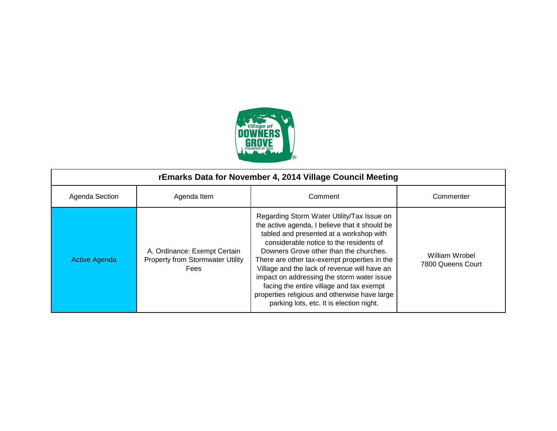

| rEmarks Data for November 4, 2014 Village Council Meeting |                                                                                        |                                                                                                                                                                                                                                                                                                                                                                                                                                                                                                                     |                                     |
|-----------------------------------------------------------|----------------------------------------------------------------------------------------|---------------------------------------------------------------------------------------------------------------------------------------------------------------------------------------------------------------------------------------------------------------------------------------------------------------------------------------------------------------------------------------------------------------------------------------------------------------------------------------------------------------------|-------------------------------------|
| Agenda Section                                            | Agenda Item                                                                            | Comment                                                                                                                                                                                                                                                                                                                                                                                                                                                                                                             | Commenter                           |
| <b>Active Agenda</b>                                      | A. Ordinance: Exempt Certain<br><b>Property from Stormwater Utility</b><br><b>Fees</b> | Regarding Storm Water Utility/Tax Issue on<br>the active agenda, I believe that it should be<br>tabled and presented at a workshop with<br>considerable notice to the residents of<br>Downers Grove other than the churches.<br>There are other tax-exempt properties in the<br>Village and the lack of revenue will have an<br>impact on addressing the storm water issue<br>facing the entire village and tax exempt<br>properties religious and otherwise have large<br>parking lots, etc. It is election night. | William Wrobel<br>7800 Queens Court |